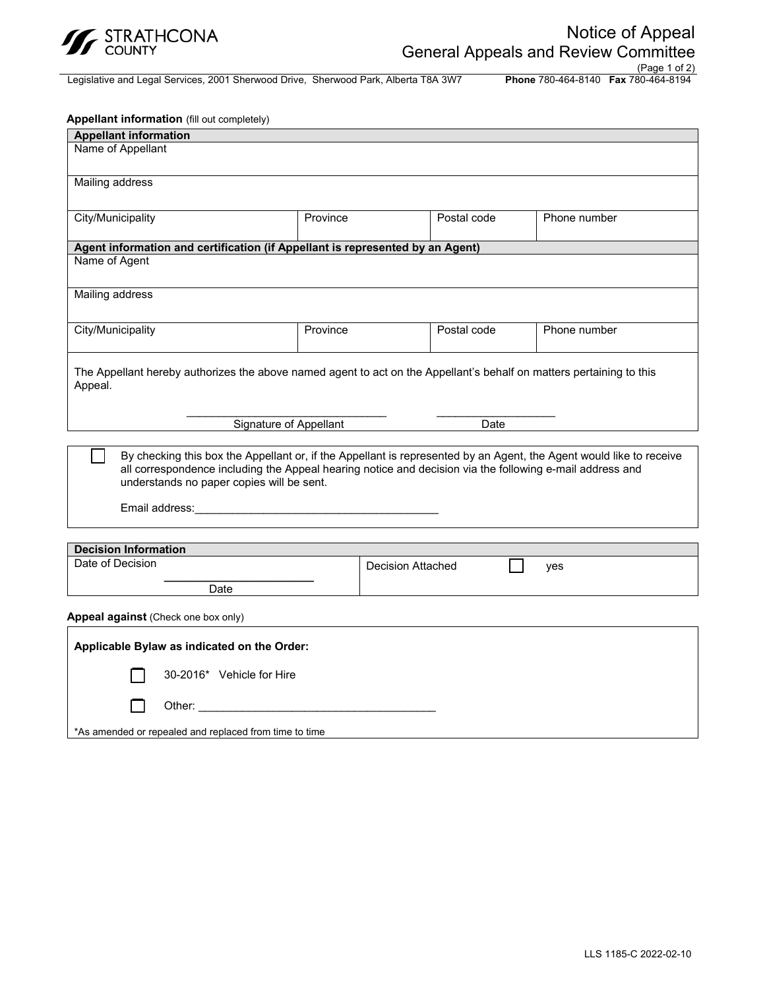

Legislative and Legal Services, 2001 Sherwood Drive, Sherwood Park, Alberta T8A 3W7

(Page 1 of 2)

| Appellant information (fill out completely)                                   |                                                                                                                                                                                                                                                                                                                                                                      |                          |                                                                                                                     |
|-------------------------------------------------------------------------------|----------------------------------------------------------------------------------------------------------------------------------------------------------------------------------------------------------------------------------------------------------------------------------------------------------------------------------------------------------------------|--------------------------|---------------------------------------------------------------------------------------------------------------------|
| <b>Appellant information</b>                                                  |                                                                                                                                                                                                                                                                                                                                                                      |                          |                                                                                                                     |
| Name of Appellant                                                             |                                                                                                                                                                                                                                                                                                                                                                      |                          |                                                                                                                     |
| <b>Mailing address</b>                                                        |                                                                                                                                                                                                                                                                                                                                                                      |                          |                                                                                                                     |
| City/Municipality                                                             | Province                                                                                                                                                                                                                                                                                                                                                             | Postal code              | Phone number                                                                                                        |
| Agent information and certification (if Appellant is represented by an Agent) |                                                                                                                                                                                                                                                                                                                                                                      |                          |                                                                                                                     |
| Name of Agent                                                                 |                                                                                                                                                                                                                                                                                                                                                                      |                          |                                                                                                                     |
| <b>Mailing address</b>                                                        |                                                                                                                                                                                                                                                                                                                                                                      |                          |                                                                                                                     |
| City/Municipality                                                             | Province                                                                                                                                                                                                                                                                                                                                                             | Postal code              | Phone number                                                                                                        |
| understands no paper copies will be sent.                                     | Signature of Appellant<br>all correspondence including the Appeal hearing notice and decision via the following e-mail address and<br>Email address: Email and the state of the state of the state of the state of the state of the state of the state of the state of the state of the state of the state of the state of the state of the state of the state of th | $\overline{$ }Date       | By checking this box the Appellant or, if the Appellant is represented by an Agent, the Agent would like to receive |
| <b>Decision Information</b>                                                   |                                                                                                                                                                                                                                                                                                                                                                      |                          |                                                                                                                     |
| Date of Decision                                                              |                                                                                                                                                                                                                                                                                                                                                                      | <b>Decision Attached</b> | yes                                                                                                                 |
| Date                                                                          |                                                                                                                                                                                                                                                                                                                                                                      |                          |                                                                                                                     |
| Appeal against (Check one box only)                                           |                                                                                                                                                                                                                                                                                                                                                                      |                          |                                                                                                                     |
| Applicable Bylaw as indicated on the Order:                                   |                                                                                                                                                                                                                                                                                                                                                                      |                          |                                                                                                                     |
| 30-2016* Vehicle for Hire                                                     |                                                                                                                                                                                                                                                                                                                                                                      |                          |                                                                                                                     |
|                                                                               | Other: the contract of the contract of the contract of the contract of the contract of the contract of the contract of the contract of the contract of the contract of the contract of the contract of the contract of the con                                                                                                                                       |                          |                                                                                                                     |
| *As amended or repealed and replaced from time to time                        |                                                                                                                                                                                                                                                                                                                                                                      |                          |                                                                                                                     |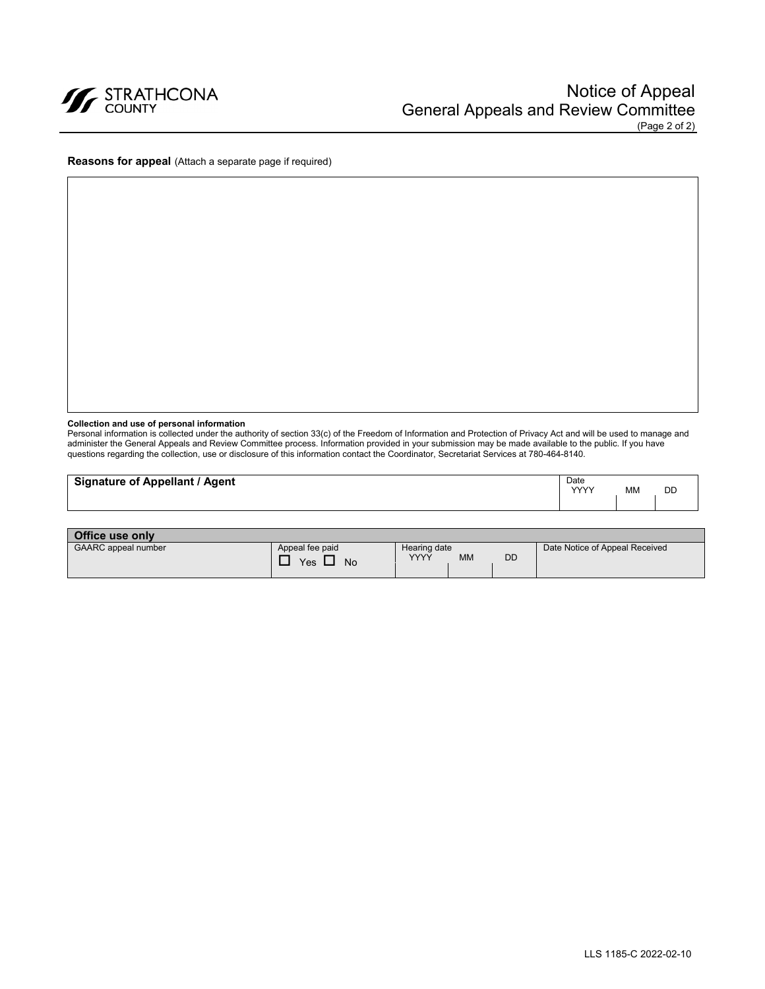

**Reasons for appeal** (Attach a separate page if required)

### **Collection and use of personal information**

Personal information is collected under the authority of section 33(c) of the Freedom of Information and Protection of Privacy Act and will be used to manage and administer the General Appeals and Review Committee process. Information provided in your submission may be made available to the public. If you have questions regarding the collection, use or disclosure of this information contact the Coordinator, Secretariat Services at 780-464-8140.

| <b>Signature of Appellant / Agent</b> | Date<br><b>YYYY</b> | MM | DD |
|---------------------------------------|---------------------|----|----|
| <b>Office use only</b>                |                     |    |    |

| <b>VILLE USE VIIIV</b>     |                              |                                          |           |                                |
|----------------------------|------------------------------|------------------------------------------|-----------|--------------------------------|
| <b>GAARC</b> appeal number | Appeal fee paid<br>Yes<br>No | Hearing date<br><b>MM</b><br><b>VVVV</b> | <b>DD</b> | Date Notice of Appeal Received |
|                            |                              |                                          |           |                                |